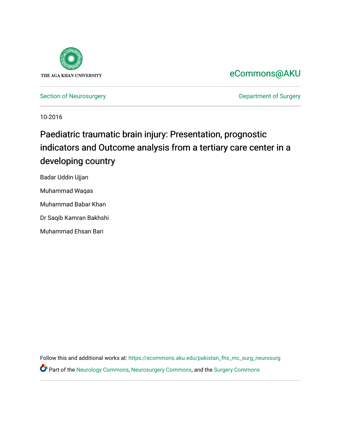

## [eCommons@AKU](https://ecommons.aku.edu/)

[Section of Neurosurgery](https://ecommons.aku.edu/pakistan_fhs_mc_surg_neurosurg) **Department of Surgery** Department of Surgery

10-2016

# Paediatric traumatic brain injury: Presentation, prognostic indicators and Outcome analysis from a tertiary care center in a developing country

Badar Uddin Ujjan Muhammad Waqas Muhammad Babar Khan

Dr Saqib Kamran Bakhshi

Muhammad Ehsan Bari

Follow this and additional works at: [https://ecommons.aku.edu/pakistan\\_fhs\\_mc\\_surg\\_neurosurg](https://ecommons.aku.edu/pakistan_fhs_mc_surg_neurosurg?utm_source=ecommons.aku.edu%2Fpakistan_fhs_mc_surg_neurosurg%2F224&utm_medium=PDF&utm_campaign=PDFCoverPages)  Part of the [Neurology Commons](http://network.bepress.com/hgg/discipline/692?utm_source=ecommons.aku.edu%2Fpakistan_fhs_mc_surg_neurosurg%2F224&utm_medium=PDF&utm_campaign=PDFCoverPages), [Neurosurgery Commons](http://network.bepress.com/hgg/discipline/1428?utm_source=ecommons.aku.edu%2Fpakistan_fhs_mc_surg_neurosurg%2F224&utm_medium=PDF&utm_campaign=PDFCoverPages), and the [Surgery Commons](http://network.bepress.com/hgg/discipline/706?utm_source=ecommons.aku.edu%2Fpakistan_fhs_mc_surg_neurosurg%2F224&utm_medium=PDF&utm_campaign=PDFCoverPages)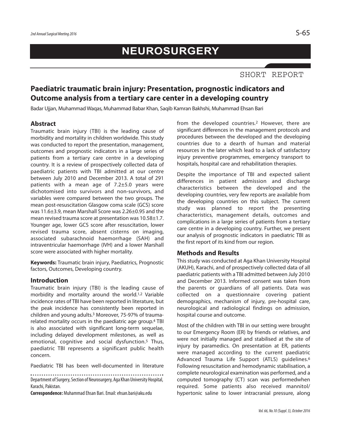## **NEUROSURGERY**

## **Paediatric traumatic brain injury: Presentation, prognostic indicators and Outcome analysis from a tertiary care center in a developing country**

Badar Ujjan, Muhammad Waqas, Muhammad Babar Khan, Saqib Kamran Bakhshi, Muhammad Ehsan Bari

## **Abstract**

Traumatic brain injury (TBI) is the leading cause of morbidity and mortality in children worldwide. This study was conducted to report the presentation, management, outcomes and prognostic indicators in a large series of patients from a tertiary care centre in a developing country. It is a review of prospectively collected data of paediatric patients with TBI admitted at our centre between July 2010 and December 2013. A total of 291 patients with a mean age of 7.2±5.0 years were dichotomised into survivors and non-survivors, and variables were compared between the two groups. The mean post-resuscitation Glasgow coma scale (GCS) score was 11.6±3.9, mean Marshall Score was 2.26±0.95 and the mean revised trauma score at presentation was 10.58±1.7. Younger age, lower GCS score after resuscitation, lower revised trauma score, absent cisterns on imaging, associated subarachnoid haemorrhage (SAH) and intraventricular haemorrhage (IVH) and a lower Marshall score were associated with higher mortality.

**Keywords:** Traumatic brain injury, Paediatrics, Prognostic factors, Outcomes, Developing country.

### **Introduction**

Traumatic brain injury (TBI) is the leading cause of morbidity and mortality around the world. 1,2 Variable incidence rates of TBI have been reported in literature, but the peak incidence has consistently been reported in children and young adults. <sup>3</sup> Moreover, 75-97% of traumarelated mortality occurs in the paediatric age group. <sup>4</sup> TBI is also associated with significant long-term sequelae, including delayed development milestones, as well as emotional, cognitive and social dysfunction. <sup>5</sup> Thus, paediatric TBI represents a significant public health concern.

Paediatric TBI has been well-documented in literature

Department of Surgery, Section of Neurosurgery, Aga Khan University Hospital, Karachi, Pakistan.

**Correspondence:** MuhammadEhsan Bari.Email:ehsan.bari@aku.edu

from the developed countries. <sup>2</sup> However, there are significant differences in the management protocols and procedures between the developed and the developing countries due to a dearth of human and material resources in the later which lead to a lack of satisfactory injury preventive programmes, emergency transport to hospitals, hospital care and rehabilitation therapies.

Despite the importance of TBI and expected salient differences in patient admission and discharge characteristics between the developed and the developing countries, very few reports are available from the developing countries on this subject. The current study was planned to report the presenting characteristics, management details, outcomes and complications in a large series of patients from a tertiary care centre in a developing country. Further, we present our analysis of prognostic indicators in paediatric TBI as the first report of its kind from our region.

#### **Methods and Results**

This study was conducted at Aga Khan University Hospital (AKUH), Karachi, and of prospectively collected data of all paediatric patients with a TBI admitted between July 2010 and December 2013. Informed consent was taken from the parents or guardians of all patients. Data was collected on a questionnaire covering patient demographics, mechanism of injury, pre-hospital care, neurological and radiological findings on admission, hospital course and outcome.

Most of the children with TBI in our setting were brought to our Emergency Room (ER) by friends or relatives, and were not initially managed and stabilised at the site of injury by paramedics. On presentation at ER, patients were managed according to the current paediatric Advanced Trauma Life Support (ATLS) guidelines. 6 Following resuscitation and hemodynamic stabilisation, a complete neurological examination was performed, and a computed tomography (CT) scan was performedwhen required. Some patients also received mannitol/ hypertonic saline to lower intracranial pressure, along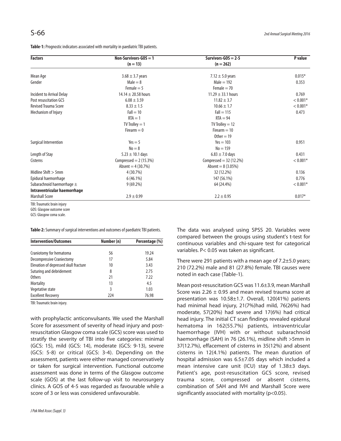| <b>Factors</b>                 | Non-Survivors-GOS $=$ 1 | Survivors-GOS = $2-5$    | P value    |
|--------------------------------|-------------------------|--------------------------|------------|
|                                | $(n = 13)$              | $(n = 262)$              |            |
| Mean Age                       | $3.68 \pm 3.7$ years    | 7.12 $\pm$ 5.0 years     | $0.015*$   |
| Gender                         | $Male = 8$              | $Male = 192$             | 0.353      |
|                                | Female $= 5$            | Female $= 70$            |            |
| Incident to Arrival Delay      | 14.14 $\pm$ 20.58 hours | 11.29 $\pm$ 33.1 hours   | 0.769      |
| Post resuscitation GCS         | $6.08 \pm 3.59$         | $11.82 \pm 3.7$          | $< 0.001*$ |
| <b>Revised Trauma Score</b>    | $8.33 \pm 1.5$          | $10.66 \pm 1.7$          | $< 0.001*$ |
| Mechanism of Injury            | $Fall = 10$             | $Fall = 115$             | 0.473      |
|                                | $RTA = 1$               | $RTA = 94$               |            |
|                                | $TV$ Trolley $= 1$      | $TV$ Trolley = 12        |            |
|                                | Firearm $= 0$           | Firearm $= 10$           |            |
|                                |                         | Other = $19$             |            |
| Surgical Intervention          | $Yes = 5$               | $Yes = 103$              | 0.951      |
|                                | $No = 8$                | $No = 159$               |            |
| Length of Stay                 | $5.23 \pm 10.1$ days    | $6.83 \pm 7.0$ days      | 0.431      |
| Cisterns                       | Compressed = $2(15.3%)$ | Compressed = $32(12.2%)$ | $< 0.001*$ |
|                                | Absent = $4(30.7%)$     | Absent = $8(3.05%)$      |            |
| Midline Shift $> 5$ mm         | 4(30.7%)                | 32 (12.2%)               | 0.136      |
| Epidural haemorrhage           | 6(46.1%)                | 147 (56.1%)              | 0.776      |
| Subarachnoid haemorrhage $\pm$ | $9(69.2\%)$             | 64 (24.4%)               | $< 0.001*$ |
| Intraventricular haemorrhage   |                         |                          |            |
| <b>Marshall Score</b>          | $2.9 \pm 0.99$          | $2.2 \pm 0.95$           | $0.017*$   |

TBI: Traumatic brain injury

GOS: Glasgow outcome score

GCS: Glasgow coma scale.

**Table-2:** Summary of surgical interventions and outcomes of paediatric TBI patients.

| <b>Intervention/Outcomes</b>          | Number (n) | Percentage (%) |
|---------------------------------------|------------|----------------|
|                                       |            |                |
| Craniotomy for hematoma               | 56         | 19.24          |
| <b>Decompressive Craniectomy</b>      | 17         | 5.84           |
| Elevation of depressed skull fracture | 10         | 3.43           |
| Suturing and debridement              | 8          | 2.75           |
| <b>Others</b>                         | 21         | 7.22           |
| <b>Mortality</b>                      | 13         | 4.5            |
| Vegetative state                      | 3          | 1.03           |
| <b>Excellent Recovery</b>             | 224        | 76.98          |

TBI: Traumatic brain injury.

with prophylactic anticonvulsants. We used the Marshall Score for assessment of severity of head injury and postresuscitation Glasgow coma scale (GCS) score was used to stratify the severity of TBI into five categories: minimal (GCS: 15), mild (GCS: 14), moderate (GCS: 9-13), severe (GCS: 5-8) or critical (GCS: 3-4). Depending on the assessment, patients were either managed conservatively or taken for surgical intervention. Functional outcome assessment was done in terms of the Glasgow outcome scale (GOS) at the last follow-up visit to neurosurgery clinics. A GOS of 4-5 was regarded as favourable while a score of 3 or less was considered unfavourable.

The data was analysed using SPSS 20. Variables were compared between the groups using student's t-test for continuous variables and chi-square test for categorical variables. P< 0.05 was taken as significant.

There were 291 patients with a mean age of 7.2±5.0 years; 210 (72.2%) male and 81 (27.8%) female. TBI causes were noted in each case (Table-1).

Mean post-resuscitation GCS was 11.6±3.9, mean Marshall Score was 2.26  $\pm$  0.95 and mean revised trauma score at presentation was 10.58±1.7. Overall, 120(41%) patients had minimal head injury, 21(7%)had mild, 76(26%) had moderate, 57(20%) had severe and 17(6%) had critical head injury. The initial CT scan findings revealed epidural hematoma in 162(55.7%) patients, intraventricular haemorrhage (IVH) with or without subarachnoid haemorrhage (SAH) in 76 (26.1%), midline shift >5mm in 37(12.7%), effacement of cisterns in 35(12%) and absent cisterns in 12(4.1%) patients. The mean duration of hospital admission was 6.5±7.05 days which included a mean intensive care unit (ICU) stay of 1.38±3 days. Patient's age, post-resuscitation GCS score, revised trauma score, compressed or absent cisterns, combination of SAH and IVH and Marshall Score were significantly associated with mortality ( $p$ <0.05).